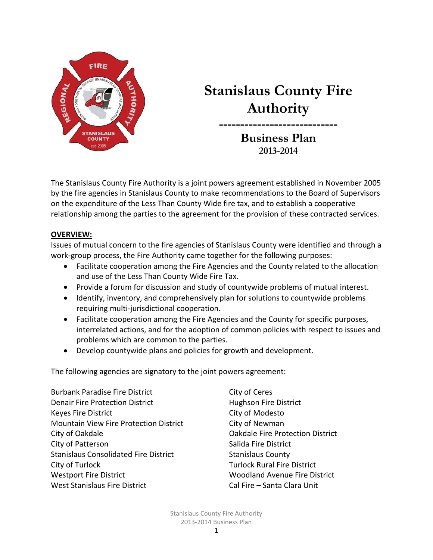

# **Stanislaus County Fire Authority**

**---------------------------- Business Plan 2013-2014**

The Stanislaus County Fire Authority is a joint powers agreement established in November 2005 by the fire agencies in Stanislaus County to make recommendations to the Board of Supervisors on the expenditure of the Less Than County Wide fire tax, and to establish a cooperative relationship among the parties to the agreement for the provision of these contracted services.

### **OVERVIEW:**

Issues of mutual concern to the fire agencies of Stanislaus County were identified and through a work-group process, the Fire Authority came together for the following purposes:

- Facilitate cooperation among the Fire Agencies and the County related to the allocation and use of the Less Than County Wide Fire Tax.
- Provide a forum for discussion and study of countywide problems of mutual interest.
- Identify, inventory, and comprehensively plan for solutions to countywide problems requiring multi-jurisdictional cooperation.
- Facilitate cooperation among the Fire Agencies and the County for specific purposes, interrelated actions, and for the adoption of common policies with respect to issues and problems which are common to the parties.
- Develop countywide plans and policies for growth and development.

The following agencies are signatory to the joint powers agreement:

Burbank Paradise Fire District City of Ceres Denair Fire Protection District **Hughson Fire District** Keyes Fire District **City of Modesto** Mountain View Fire Protection District City of Newman City of Oakdale Oakdale Fire Protection District City of Patterson Salida Fire District Stanislaus Consolidated Fire District Stanislaus County City of Turlock Turlock Rural Fire District Westport Fire District **Woodland Avenue Fire District** West Stanislaus Fire District Cal Fire – Santa Clara Unit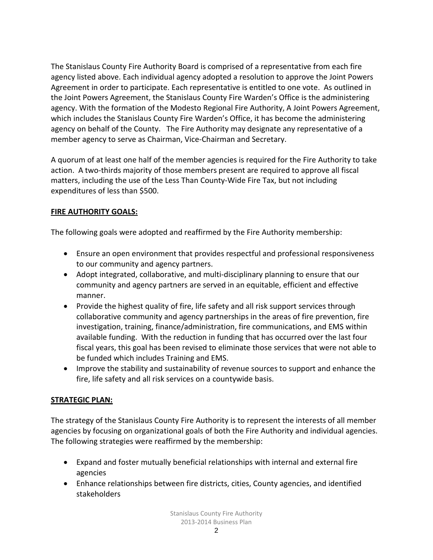The Stanislaus County Fire Authority Board is comprised of a representative from each fire agency listed above. Each individual agency adopted a resolution to approve the Joint Powers Agreement in order to participate. Each representative is entitled to one vote. As outlined in the Joint Powers Agreement, the Stanislaus County Fire Warden's Office is the administering agency. With the formation of the Modesto Regional Fire Authority, A Joint Powers Agreement, which includes the Stanislaus County Fire Warden's Office, it has become the administering agency on behalf of the County. The Fire Authority may designate any representative of a member agency to serve as Chairman, Vice-Chairman and Secretary.

A quorum of at least one half of the member agencies is required for the Fire Authority to take action. A two-thirds majority of those members present are required to approve all fiscal matters, including the use of the Less Than County-Wide Fire Tax, but not including expenditures of less than \$500.

# **FIRE AUTHORITY GOALS:**

The following goals were adopted and reaffirmed by the Fire Authority membership:

- Ensure an open environment that provides respectful and professional responsiveness to our community and agency partners.
- Adopt integrated, collaborative, and multi-disciplinary planning to ensure that our community and agency partners are served in an equitable, efficient and effective manner.
- Provide the highest quality of fire, life safety and all risk support services through collaborative community and agency partnerships in the areas of fire prevention, fire investigation, training, finance/administration, fire communications, and EMS within available funding. With the reduction in funding that has occurred over the last four fiscal years, this goal has been revised to eliminate those services that were not able to be funded which includes Training and EMS.
- Improve the stability and sustainability of revenue sources to support and enhance the fire, life safety and all risk services on a countywide basis.

### **STRATEGIC PLAN:**

The strategy of the Stanislaus County Fire Authority is to represent the interests of all member agencies by focusing on organizational goals of both the Fire Authority and individual agencies. The following strategies were reaffirmed by the membership:

- Expand and foster mutually beneficial relationships with internal and external fire agencies
- Enhance relationships between fire districts, cities, County agencies, and identified stakeholders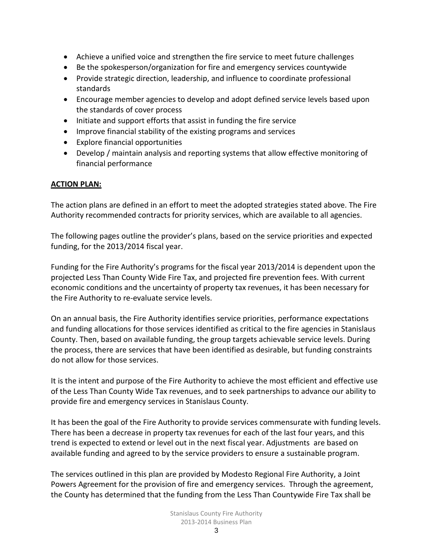- Achieve a unified voice and strengthen the fire service to meet future challenges
- Be the spokesperson/organization for fire and emergency services countywide
- Provide strategic direction, leadership, and influence to coordinate professional standards
- Encourage member agencies to develop and adopt defined service levels based upon the standards of cover process
- Initiate and support efforts that assist in funding the fire service
- Improve financial stability of the existing programs and services
- Explore financial opportunities
- Develop / maintain analysis and reporting systems that allow effective monitoring of financial performance

# **ACTION PLAN:**

The action plans are defined in an effort to meet the adopted strategies stated above. The Fire Authority recommended contracts for priority services, which are available to all agencies.

The following pages outline the provider's plans, based on the service priorities and expected funding, for the 2013/2014 fiscal year.

Funding for the Fire Authority's programs for the fiscal year 2013/2014 is dependent upon the projected Less Than County Wide Fire Tax, and projected fire prevention fees. With current economic conditions and the uncertainty of property tax revenues, it has been necessary for the Fire Authority to re-evaluate service levels.

On an annual basis, the Fire Authority identifies service priorities, performance expectations and funding allocations for those services identified as critical to the fire agencies in Stanislaus County. Then, based on available funding, the group targets achievable service levels. During the process, there are services that have been identified as desirable, but funding constraints do not allow for those services.

It is the intent and purpose of the Fire Authority to achieve the most efficient and effective use of the Less Than County Wide Tax revenues, and to seek partnerships to advance our ability to provide fire and emergency services in Stanislaus County.

It has been the goal of the Fire Authority to provide services commensurate with funding levels. There has been a decrease in property tax revenues for each of the last four years, and this trend is expected to extend or level out in the next fiscal year. Adjustments are based on available funding and agreed to by the service providers to ensure a sustainable program.

The services outlined in this plan are provided by Modesto Regional Fire Authority, a Joint Powers Agreement for the provision of fire and emergency services. Through the agreement, the County has determined that the funding from the Less Than Countywide Fire Tax shall be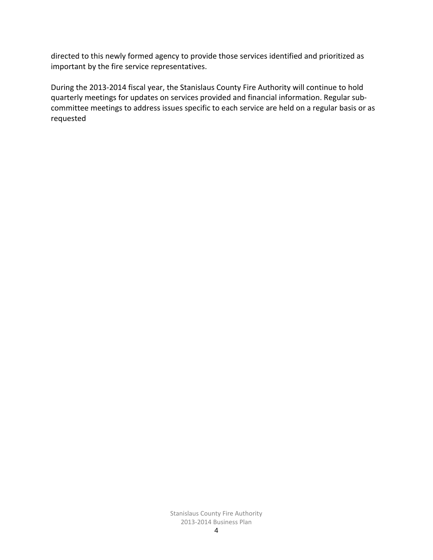directed to this newly formed agency to provide those services identified and prioritized as important by the fire service representatives.

During the 2013-2014 fiscal year, the Stanislaus County Fire Authority will continue to hold quarterly meetings for updates on services provided and financial information. Regular subcommittee meetings to address issues specific to each service are held on a regular basis or as requested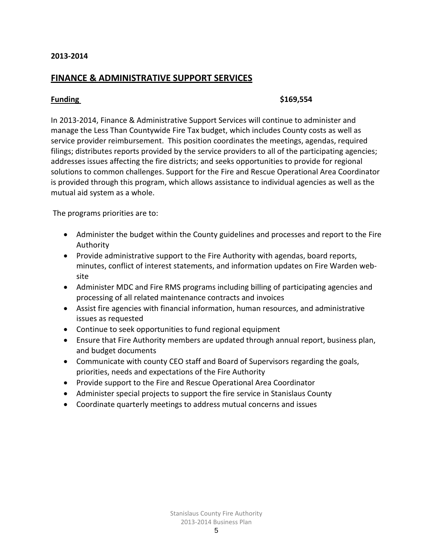### **FINANCE & ADMINISTRATIVE SUPPORT SERVICES**

#### **Funding \$169,554**

In 2013-2014, Finance & Administrative Support Services will continue to administer and manage the Less Than Countywide Fire Tax budget, which includes County costs as well as service provider reimbursement. This position coordinates the meetings, agendas, required filings; distributes reports provided by the service providers to all of the participating agencies; addresses issues affecting the fire districts; and seeks opportunities to provide for regional solutions to common challenges. Support for the Fire and Rescue Operational Area Coordinator is provided through this program, which allows assistance to individual agencies as well as the mutual aid system as a whole.

The programs priorities are to:

- Administer the budget within the County guidelines and processes and report to the Fire Authority
- Provide administrative support to the Fire Authority with agendas, board reports, minutes, conflict of interest statements, and information updates on Fire Warden website
- Administer MDC and Fire RMS programs including billing of participating agencies and processing of all related maintenance contracts and invoices
- Assist fire agencies with financial information, human resources, and administrative issues as requested
- Continue to seek opportunities to fund regional equipment
- Ensure that Fire Authority members are updated through annual report, business plan, and budget documents
- Communicate with county CEO staff and Board of Supervisors regarding the goals, priorities, needs and expectations of the Fire Authority
- Provide support to the Fire and Rescue Operational Area Coordinator
- Administer special projects to support the fire service in Stanislaus County
- Coordinate quarterly meetings to address mutual concerns and issues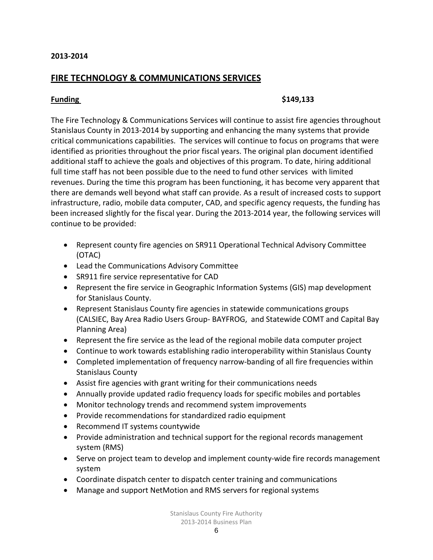# **FIRE TECHNOLOGY & COMMUNICATIONS SERVICES**

#### **Funding \$149,133**

The Fire Technology & Communications Services will continue to assist fire agencies throughout Stanislaus County in 2013-2014 by supporting and enhancing the many systems that provide critical communications capabilities. The services will continue to focus on programs that were identified as priorities throughout the prior fiscal years. The original plan document identified additional staff to achieve the goals and objectives of this program. To date, hiring additional full time staff has not been possible due to the need to fund other services with limited revenues. During the time this program has been functioning, it has become very apparent that there are demands well beyond what staff can provide. As a result of increased costs to support infrastructure, radio, mobile data computer, CAD, and specific agency requests, the funding has been increased slightly for the fiscal year. During the 2013-2014 year, the following services will continue to be provided:

- Represent county fire agencies on SR911 Operational Technical Advisory Committee (OTAC)
- Lead the Communications Advisory Committee
- SR911 fire service representative for CAD
- Represent the fire service in Geographic Information Systems (GIS) map development for Stanislaus County.
- Represent Stanislaus County fire agencies in statewide communications groups (CALSIEC, Bay Area Radio Users Group- BAYFROG, and Statewide COMT and Capital Bay Planning Area)
- Represent the fire service as the lead of the regional mobile data computer project
- Continue to work towards establishing radio interoperability within Stanislaus County
- Completed implementation of frequency narrow-banding of all fire frequencies within Stanislaus County
- Assist fire agencies with grant writing for their communications needs
- Annually provide updated radio frequency loads for specific mobiles and portables
- Monitor technology trends and recommend system improvements
- Provide recommendations for standardized radio equipment
- Recommend IT systems countywide
- Provide administration and technical support for the regional records management system (RMS)
- Serve on project team to develop and implement county-wide fire records management system
- Coordinate dispatch center to dispatch center training and communications
- Manage and support NetMotion and RMS servers for regional systems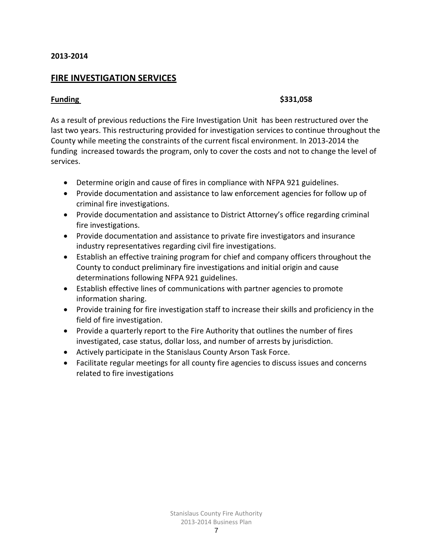### **FIRE INVESTIGATION SERVICES**

#### **Funding \$331,058**

As a result of previous reductions the Fire Investigation Unit has been restructured over the last two years. This restructuring provided for investigation services to continue throughout the County while meeting the constraints of the current fiscal environment. In 2013-2014 the funding increased towards the program, only to cover the costs and not to change the level of services.

- Determine origin and cause of fires in compliance with NFPA 921 guidelines.
- Provide documentation and assistance to law enforcement agencies for follow up of criminal fire investigations.
- Provide documentation and assistance to District Attorney's office regarding criminal fire investigations.
- Provide documentation and assistance to private fire investigators and insurance industry representatives regarding civil fire investigations.
- Establish an effective training program for chief and company officers throughout the County to conduct preliminary fire investigations and initial origin and cause determinations following NFPA 921 guidelines.
- Establish effective lines of communications with partner agencies to promote information sharing.
- Provide training for fire investigation staff to increase their skills and proficiency in the field of fire investigation.
- Provide a quarterly report to the Fire Authority that outlines the number of fires investigated, case status, dollar loss, and number of arrests by jurisdiction.
- Actively participate in the Stanislaus County Arson Task Force.
- Facilitate regular meetings for all county fire agencies to discuss issues and concerns related to fire investigations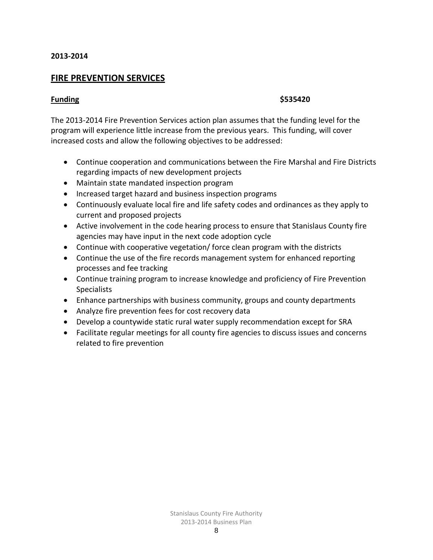### **FIRE PREVENTION SERVICES**

#### **Funding \$535420**

The 2013-2014 Fire Prevention Services action plan assumes that the funding level for the program will experience little increase from the previous years. This funding, will cover increased costs and allow the following objectives to be addressed:

- Continue cooperation and communications between the Fire Marshal and Fire Districts regarding impacts of new development projects
- Maintain state mandated inspection program
- Increased target hazard and business inspection programs
- Continuously evaluate local fire and life safety codes and ordinances as they apply to current and proposed projects
- Active involvement in the code hearing process to ensure that Stanislaus County fire agencies may have input in the next code adoption cycle
- Continue with cooperative vegetation/ force clean program with the districts
- Continue the use of the fire records management system for enhanced reporting processes and fee tracking
- Continue training program to increase knowledge and proficiency of Fire Prevention **Specialists**
- Enhance partnerships with business community, groups and county departments
- Analyze fire prevention fees for cost recovery data
- Develop a countywide static rural water supply recommendation except for SRA
- Facilitate regular meetings for all county fire agencies to discuss issues and concerns related to fire prevention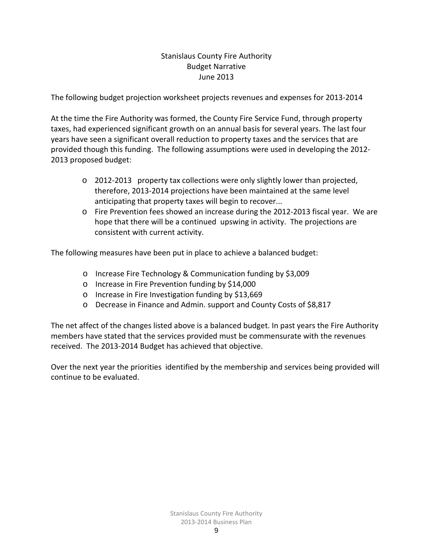# Stanislaus County Fire Authority Budget Narrative June 2013

The following budget projection worksheet projects revenues and expenses for 2013-2014

At the time the Fire Authority was formed, the County Fire Service Fund, through property taxes, had experienced significant growth on an annual basis for several years. The last four years have seen a significant overall reduction to property taxes and the services that are provided though this funding. The following assumptions were used in developing the 2012- 2013 proposed budget:

- o 2012-2013 property tax collections were only slightly lower than projected, therefore, 2013-2014 projections have been maintained at the same level anticipating that property taxes will begin to recover...
- o Fire Prevention fees showed an increase during the 2012-2013 fiscal year. We are hope that there will be a continued upswing in activity. The projections are consistent with current activity.

The following measures have been put in place to achieve a balanced budget:

- o Increase Fire Technology & Communication funding by \$3,009
- o Increase in Fire Prevention funding by \$14,000
- o Increase in Fire Investigation funding by \$13,669
- o Decrease in Finance and Admin. support and County Costs of \$8,817

The net affect of the changes listed above is a balanced budget. In past years the Fire Authority members have stated that the services provided must be commensurate with the revenues received. The 2013-2014 Budget has achieved that objective.

Over the next year the priorities identified by the membership and services being provided will continue to be evaluated.